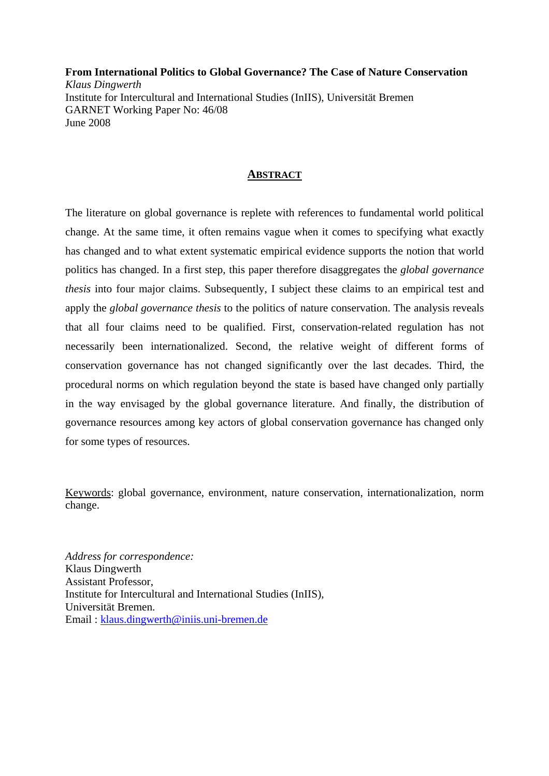**From International Politics to Global Governance? The Case of Nature Conservation**  *Klaus Dingwerth*  Institute for Intercultural and International Studies (InIIS), Universität Bremen GARNET Working Paper No: 46/08 June 2008

# **ABSTRACT**

The literature on global governance is replete with references to fundamental world political change. At the same time, it often remains vague when it comes to specifying what exactly has changed and to what extent systematic empirical evidence supports the notion that world politics has changed. In a first step, this paper therefore disaggregates the *global governance thesis* into four major claims. Subsequently, I subject these claims to an empirical test and apply the *global governance thesis* to the politics of nature conservation. The analysis reveals that all four claims need to be qualified. First, conservation-related regulation has not necessarily been internationalized. Second, the relative weight of different forms of conservation governance has not changed significantly over the last decades. Third, the procedural norms on which regulation beyond the state is based have changed only partially in the way envisaged by the global governance literature. And finally, the distribution of governance resources among key actors of global conservation governance has changed only for some types of resources.

Keywords: global governance, environment, nature conservation, internationalization, norm change.

*Address for correspondence:*  Klaus Dingwerth Assistant Professor, Institute for Intercultural and International Studies (InIIS), Universität Bremen. Email : klaus.dingwerth@iniis.uni-bremen.de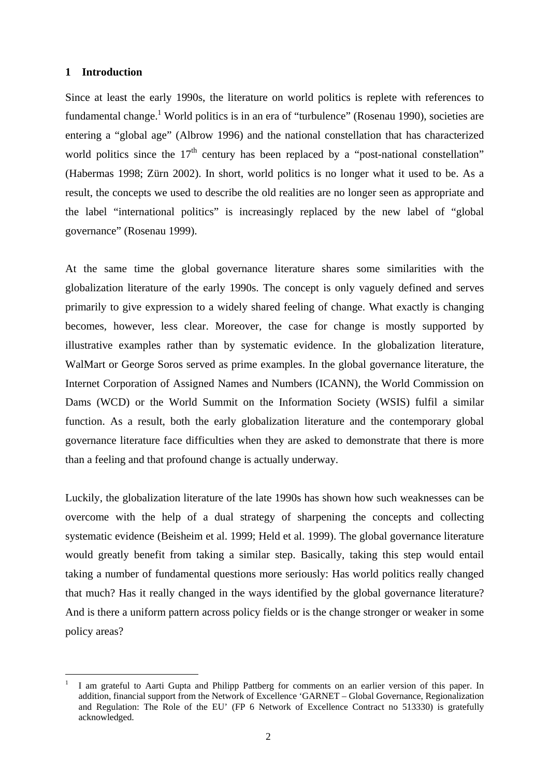## **1 Introduction**

1

Since at least the early 1990s, the literature on world politics is replete with references to fundamental change.<sup>1</sup> World politics is in an era of "turbulence" (Rosenau 1990), societies are entering a "global age" (Albrow 1996) and the national constellation that has characterized world politics since the  $17<sup>th</sup>$  century has been replaced by a "post-national constellation" (Habermas 1998; Zürn 2002). In short, world politics is no longer what it used to be. As a result, the concepts we used to describe the old realities are no longer seen as appropriate and the label "international politics" is increasingly replaced by the new label of "global governance" (Rosenau 1999).

At the same time the global governance literature shares some similarities with the globalization literature of the early 1990s. The concept is only vaguely defined and serves primarily to give expression to a widely shared feeling of change. What exactly is changing becomes, however, less clear. Moreover, the case for change is mostly supported by illustrative examples rather than by systematic evidence. In the globalization literature, WalMart or George Soros served as prime examples. In the global governance literature, the Internet Corporation of Assigned Names and Numbers (ICANN), the World Commission on Dams (WCD) or the World Summit on the Information Society (WSIS) fulfil a similar function. As a result, both the early globalization literature and the contemporary global governance literature face difficulties when they are asked to demonstrate that there is more than a feeling and that profound change is actually underway.

Luckily, the globalization literature of the late 1990s has shown how such weaknesses can be overcome with the help of a dual strategy of sharpening the concepts and collecting systematic evidence (Beisheim et al. 1999; Held et al. 1999). The global governance literature would greatly benefit from taking a similar step. Basically, taking this step would entail taking a number of fundamental questions more seriously: Has world politics really changed that much? Has it really changed in the ways identified by the global governance literature? And is there a uniform pattern across policy fields or is the change stronger or weaker in some policy areas?

<sup>1</sup> I am grateful to Aarti Gupta and Philipp Pattberg for comments on an earlier version of this paper. In addition, financial support from the Network of Excellence 'GARNET – Global Governance, Regionalization and Regulation: The Role of the EU' (FP 6 Network of Excellence Contract no 513330) is gratefully acknowledged.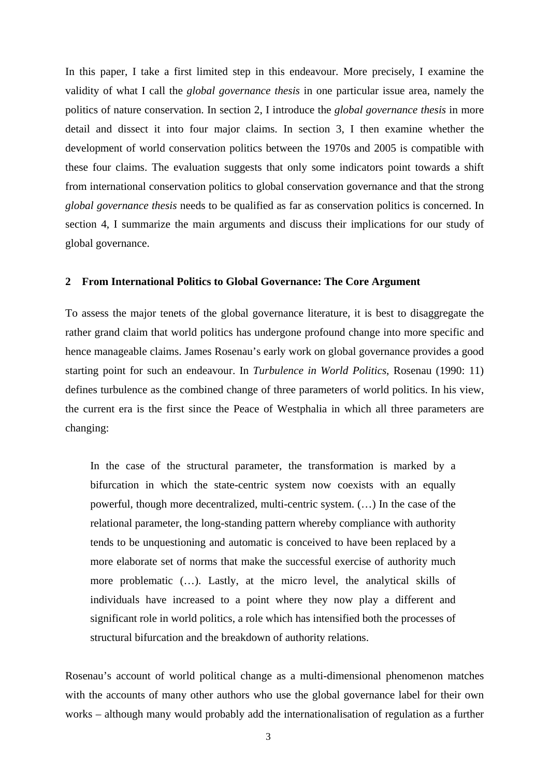In this paper, I take a first limited step in this endeavour. More precisely, I examine the validity of what I call the *global governance thesis* in one particular issue area, namely the politics of nature conservation. In section 2, I introduce the *global governance thesis* in more detail and dissect it into four major claims. In section 3, I then examine whether the development of world conservation politics between the 1970s and 2005 is compatible with these four claims. The evaluation suggests that only some indicators point towards a shift from international conservation politics to global conservation governance and that the strong *global governance thesis* needs to be qualified as far as conservation politics is concerned. In section 4, I summarize the main arguments and discuss their implications for our study of global governance.

#### **2 From International Politics to Global Governance: The Core Argument**

To assess the major tenets of the global governance literature, it is best to disaggregate the rather grand claim that world politics has undergone profound change into more specific and hence manageable claims. James Rosenau's early work on global governance provides a good starting point for such an endeavour. In *Turbulence in World Politics*, Rosenau (1990: 11) defines turbulence as the combined change of three parameters of world politics. In his view, the current era is the first since the Peace of Westphalia in which all three parameters are changing:

In the case of the structural parameter, the transformation is marked by a bifurcation in which the state-centric system now coexists with an equally powerful, though more decentralized, multi-centric system. (…) In the case of the relational parameter, the long-standing pattern whereby compliance with authority tends to be unquestioning and automatic is conceived to have been replaced by a more elaborate set of norms that make the successful exercise of authority much more problematic (…). Lastly, at the micro level, the analytical skills of individuals have increased to a point where they now play a different and significant role in world politics, a role which has intensified both the processes of structural bifurcation and the breakdown of authority relations.

Rosenau's account of world political change as a multi-dimensional phenomenon matches with the accounts of many other authors who use the global governance label for their own works – although many would probably add the internationalisation of regulation as a further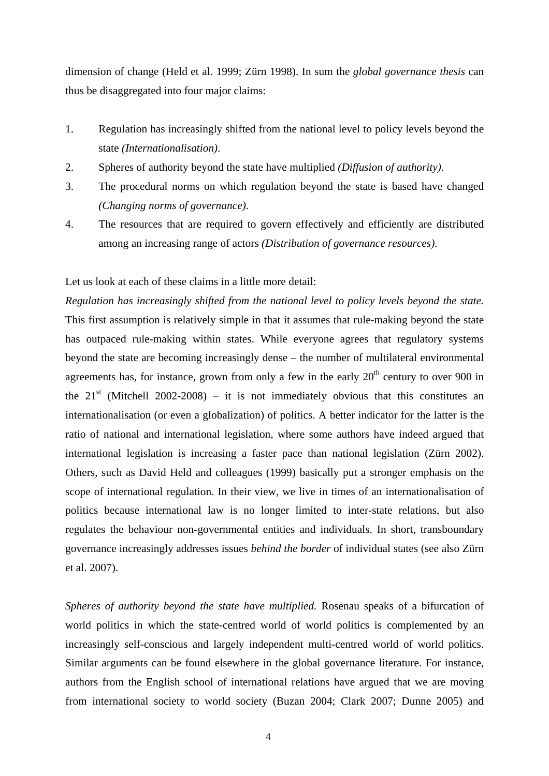dimension of change (Held et al. 1999; Zürn 1998). In sum the *global governance thesis* can thus be disaggregated into four major claims:

- 1. Regulation has increasingly shifted from the national level to policy levels beyond the state *(Internationalisation)*.
- 2. Spheres of authority beyond the state have multiplied *(Diffusion of authority)*.
- 3. The procedural norms on which regulation beyond the state is based have changed *(Changing norms of governance)*.
- 4. The resources that are required to govern effectively and efficiently are distributed among an increasing range of actors *(Distribution of governance resources)*.

Let us look at each of these claims in a little more detail:

*Regulation has increasingly shifted from the national level to policy levels beyond the state.* This first assumption is relatively simple in that it assumes that rule-making beyond the state has outpaced rule-making within states. While everyone agrees that regulatory systems beyond the state are becoming increasingly dense – the number of multilateral environmental agreements has, for instance, grown from only a few in the early  $20<sup>th</sup>$  century to over 900 in the  $21<sup>st</sup>$  (Mitchell 2002-2008) – it is not immediately obvious that this constitutes an internationalisation (or even a globalization) of politics. A better indicator for the latter is the ratio of national and international legislation, where some authors have indeed argued that international legislation is increasing a faster pace than national legislation (Zürn 2002). Others, such as David Held and colleagues (1999) basically put a stronger emphasis on the scope of international regulation. In their view, we live in times of an internationalisation of politics because international law is no longer limited to inter-state relations, but also regulates the behaviour non-governmental entities and individuals. In short, transboundary governance increasingly addresses issues *behind the border* of individual states (see also Zürn et al. 2007).

*Spheres of authority beyond the state have multiplied.* Rosenau speaks of a bifurcation of world politics in which the state-centred world of world politics is complemented by an increasingly self-conscious and largely independent multi-centred world of world politics. Similar arguments can be found elsewhere in the global governance literature. For instance, authors from the English school of international relations have argued that we are moving from international society to world society (Buzan 2004; Clark 2007; Dunne 2005) and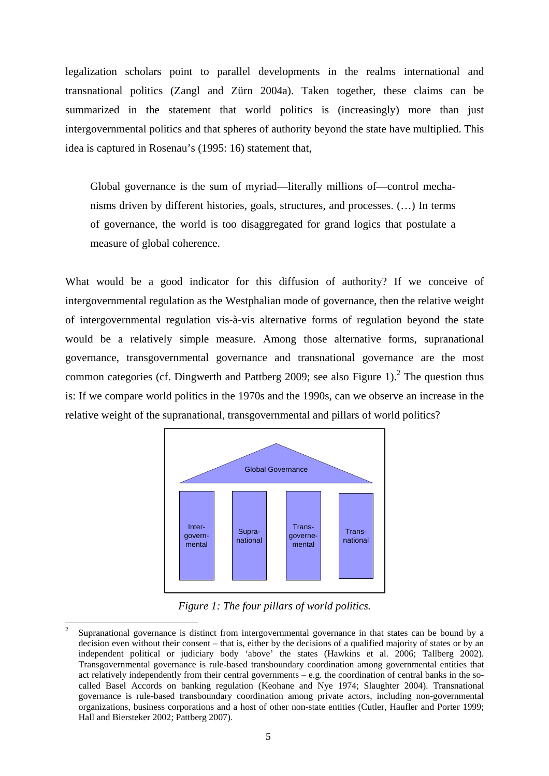legalization scholars point to parallel developments in the realms international and transnational politics (Zangl and Zürn 2004a). Taken together, these claims can be summarized in the statement that world politics is (increasingly) more than just intergovernmental politics and that spheres of authority beyond the state have multiplied. This idea is captured in Rosenau's (1995: 16) statement that,

Global governance is the sum of myriad—literally millions of—control mechanisms driven by different histories, goals, structures, and processes. (…) In terms of governance, the world is too disaggregated for grand logics that postulate a measure of global coherence.

What would be a good indicator for this diffusion of authority? If we conceive of intergovernmental regulation as the Westphalian mode of governance, then the relative weight of intergovernmental regulation vis-à-vis alternative forms of regulation beyond the state would be a relatively simple measure. Among those alternative forms, supranational governance, transgovernmental governance and transnational governance are the most common categories (cf. Dingwerth and Pattberg 2009; see also Figure 1). $^2$  The question thus is: If we compare world politics in the 1970s and the 1990s, can we observe an increase in the relative weight of the supranational, transgovernmental and pillars of world politics?



*Figure 1: The four pillars of world politics.* 

<sup>2</sup> Supranational governance is distinct from intergovernmental governance in that states can be bound by a decision even without their consent – that is, either by the decisions of a qualified majority of states or by an independent political or judiciary body 'above' the states (Hawkins et al. 2006; Tallberg 2002). Transgovernmental governance is rule-based transboundary coordination among governmental entities that act relatively independently from their central governments – e.g. the coordination of central banks in the socalled Basel Accords on banking regulation (Keohane and Nye 1974; Slaughter 2004). Transnational governance is rule-based transboundary coordination among private actors, including non-governmental organizations, business corporations and a host of other non-state entities (Cutler, Haufler and Porter 1999; Hall and Biersteker 2002; Pattberg 2007).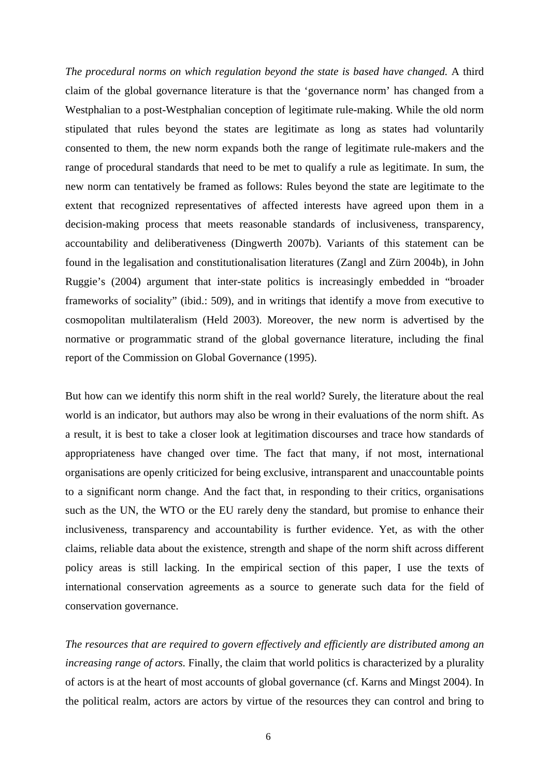*The procedural norms on which regulation beyond the state is based have changed.* A third claim of the global governance literature is that the 'governance norm' has changed from a Westphalian to a post-Westphalian conception of legitimate rule-making. While the old norm stipulated that rules beyond the states are legitimate as long as states had voluntarily consented to them, the new norm expands both the range of legitimate rule-makers and the range of procedural standards that need to be met to qualify a rule as legitimate. In sum, the new norm can tentatively be framed as follows: Rules beyond the state are legitimate to the extent that recognized representatives of affected interests have agreed upon them in a decision-making process that meets reasonable standards of inclusiveness, transparency, accountability and deliberativeness (Dingwerth 2007b). Variants of this statement can be found in the legalisation and constitutionalisation literatures (Zangl and Zürn 2004b), in John Ruggie's (2004) argument that inter-state politics is increasingly embedded in "broader frameworks of sociality" (ibid.: 509), and in writings that identify a move from executive to cosmopolitan multilateralism (Held 2003). Moreover, the new norm is advertised by the normative or programmatic strand of the global governance literature, including the final report of the Commission on Global Governance (1995).

But how can we identify this norm shift in the real world? Surely, the literature about the real world is an indicator, but authors may also be wrong in their evaluations of the norm shift. As a result, it is best to take a closer look at legitimation discourses and trace how standards of appropriateness have changed over time. The fact that many, if not most, international organisations are openly criticized for being exclusive, intransparent and unaccountable points to a significant norm change. And the fact that, in responding to their critics, organisations such as the UN, the WTO or the EU rarely deny the standard, but promise to enhance their inclusiveness, transparency and accountability is further evidence. Yet, as with the other claims, reliable data about the existence, strength and shape of the norm shift across different policy areas is still lacking. In the empirical section of this paper, I use the texts of international conservation agreements as a source to generate such data for the field of conservation governance.

*The resources that are required to govern effectively and efficiently are distributed among an increasing range of actors.* Finally, the claim that world politics is characterized by a plurality of actors is at the heart of most accounts of global governance (cf. Karns and Mingst 2004). In the political realm, actors are actors by virtue of the resources they can control and bring to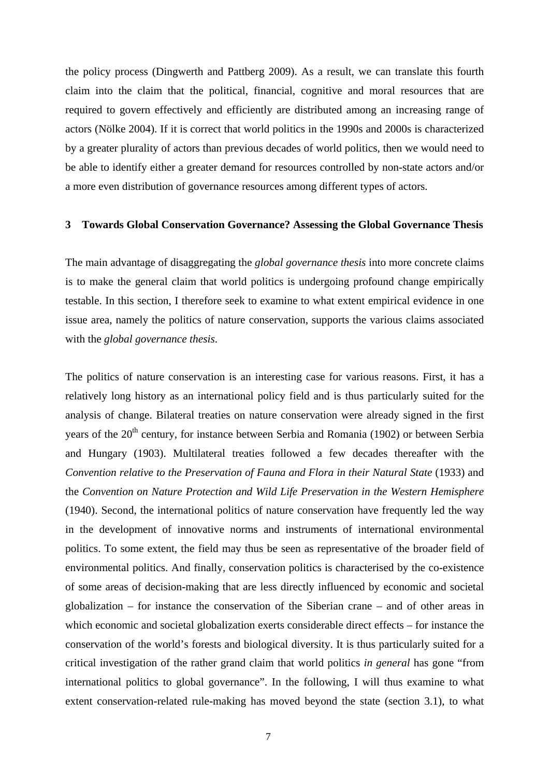the policy process (Dingwerth and Pattberg 2009). As a result, we can translate this fourth claim into the claim that the political, financial, cognitive and moral resources that are required to govern effectively and efficiently are distributed among an increasing range of actors (Nölke 2004). If it is correct that world politics in the 1990s and 2000s is characterized by a greater plurality of actors than previous decades of world politics, then we would need to be able to identify either a greater demand for resources controlled by non-state actors and/or a more even distribution of governance resources among different types of actors.

### **3 Towards Global Conservation Governance? Assessing the Global Governance Thesis**

The main advantage of disaggregating the *global governance thesis* into more concrete claims is to make the general claim that world politics is undergoing profound change empirically testable. In this section, I therefore seek to examine to what extent empirical evidence in one issue area, namely the politics of nature conservation, supports the various claims associated with the *global governance thesis*.

The politics of nature conservation is an interesting case for various reasons. First, it has a relatively long history as an international policy field and is thus particularly suited for the analysis of change. Bilateral treaties on nature conservation were already signed in the first years of the 20<sup>th</sup> century, for instance between Serbia and Romania (1902) or between Serbia and Hungary (1903). Multilateral treaties followed a few decades thereafter with the *Convention relative to the Preservation of Fauna and Flora in their Natural State* (1933) and the *Convention on Nature Protection and Wild Life Preservation in the Western Hemisphere* (1940). Second, the international politics of nature conservation have frequently led the way in the development of innovative norms and instruments of international environmental politics. To some extent, the field may thus be seen as representative of the broader field of environmental politics. And finally, conservation politics is characterised by the co-existence of some areas of decision-making that are less directly influenced by economic and societal globalization – for instance the conservation of the Siberian crane – and of other areas in which economic and societal globalization exerts considerable direct effects – for instance the conservation of the world's forests and biological diversity. It is thus particularly suited for a critical investigation of the rather grand claim that world politics *in general* has gone "from international politics to global governance". In the following, I will thus examine to what extent conservation-related rule-making has moved beyond the state (section 3.1), to what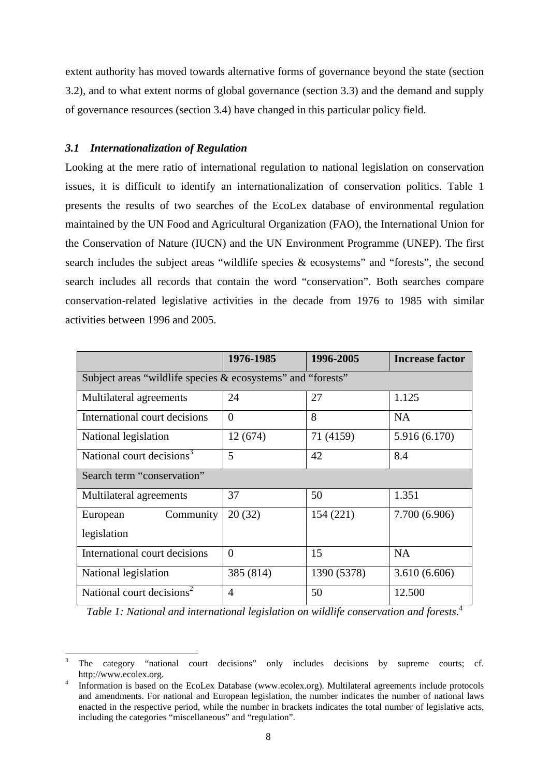extent authority has moved towards alternative forms of governance beyond the state (section 3.2), and to what extent norms of global governance (section 3.3) and the demand and supply of governance resources (section 3.4) have changed in this particular policy field.

## *3.1 Internationalization of Regulation*

1

Looking at the mere ratio of international regulation to national legislation on conservation issues, it is difficult to identify an internationalization of conservation politics. Table 1 presents the results of two searches of the EcoLex database of environmental regulation maintained by the UN Food and Agricultural Organization (FAO), the International Union for the Conservation of Nature (IUCN) and the UN Environment Programme (UNEP). The first search includes the subject areas "wildlife species & ecosystems" and "forests", the second search includes all records that contain the word "conservation". Both searches compare conservation-related legislative activities in the decade from 1976 to 1985 with similar activities between 1996 and 2005.

|                                                             | 1976-1985      | 1996-2005   | <b>Increase factor</b> |
|-------------------------------------------------------------|----------------|-------------|------------------------|
| Subject areas "wildlife species & ecosystems" and "forests" |                |             |                        |
| Multilateral agreements                                     | 24             | 27          | 1.125                  |
| International court decisions                               | $\Omega$       | 8           | <b>NA</b>              |
| National legislation                                        | 12(674)        | 71 (4159)   | 5.916 (6.170)          |
| National court decisions <sup>3</sup>                       | 5              | 42          | 8.4                    |
| Search term "conservation"                                  |                |             |                        |
| Multilateral agreements                                     | 37             | 50          | 1.351                  |
| Community<br>European                                       | 20(32)         | 154 (221)   | 7.700 (6.906)          |
| legislation                                                 |                |             |                        |
| International court decisions                               | $\theta$       | 15          | <b>NA</b>              |
| National legislation                                        | 385 (814)      | 1390 (5378) | 3.610(6.606)           |
| National court decisions <sup>2</sup>                       | $\overline{4}$ | 50          | 12.500                 |

*Table 1: National and international legislation on wildlife conservation and forests.*<sup>4</sup>

<sup>3</sup> The category "national court decisions" only includes decisions by supreme courts; cf. http://www.ecolex.org. 4

Information is based on the EcoLex Database (www.ecolex.org). Multilateral agreements include protocols and amendments. For national and European legislation, the number indicates the number of national laws enacted in the respective period, while the number in brackets indicates the total number of legislative acts, including the categories "miscellaneous" and "regulation".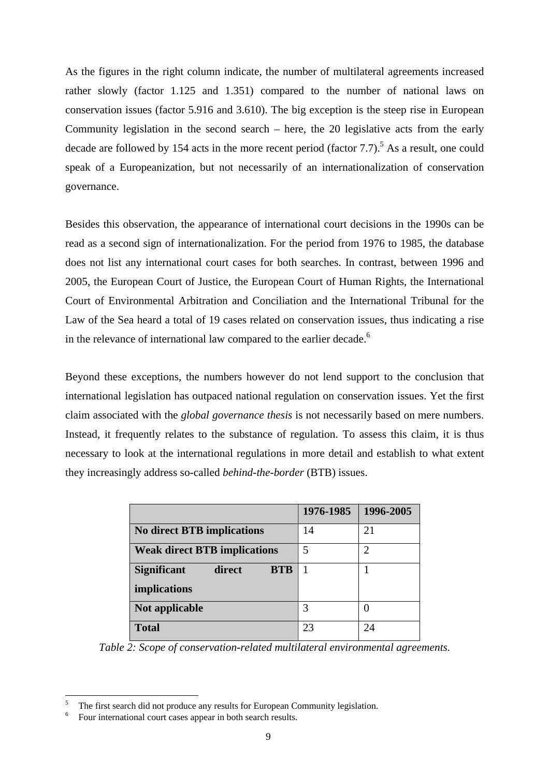As the figures in the right column indicate, the number of multilateral agreements increased rather slowly (factor 1.125 and 1.351) compared to the number of national laws on conservation issues (factor 5.916 and 3.610). The big exception is the steep rise in European Community legislation in the second search – here, the 20 legislative acts from the early decade are followed by 154 acts in the more recent period (factor  $7.7$ ).<sup>5</sup> As a result, one could speak of a Europeanization, but not necessarily of an internationalization of conservation governance.

Besides this observation, the appearance of international court decisions in the 1990s can be read as a second sign of internationalization. For the period from 1976 to 1985, the database does not list any international court cases for both searches. In contrast, between 1996 and 2005, the European Court of Justice, the European Court of Human Rights, the International Court of Environmental Arbitration and Conciliation and the International Tribunal for the Law of the Sea heard a total of 19 cases related on conservation issues, thus indicating a rise in the relevance of international law compared to the earlier decade.<sup>6</sup>

Beyond these exceptions, the numbers however do not lend support to the conclusion that international legislation has outpaced national regulation on conservation issues. Yet the first claim associated with the *global governance thesis* is not necessarily based on mere numbers. Instead, it frequently relates to the substance of regulation. To assess this claim, it is thus necessary to look at the international regulations in more detail and establish to what extent they increasingly address so-called *behind-the-border* (BTB) issues.

|                                            | 1976-1985 | 1996-2005 |
|--------------------------------------------|-----------|-----------|
| <b>No direct BTB implications</b>          | 14        | 21        |
| <b>Weak direct BTB implications</b>        | 5         | 2         |
| <b>BTB</b><br><b>Significant</b><br>direct |           |           |
| implications                               |           |           |
| Not applicable                             | 3         |           |
| <b>Total</b>                               | 23        | 24        |

*Table 2: Scope of conservation-related multilateral environmental agreements.* 

<sup>5</sup> The first search did not produce any results for European Community legislation.

<sup>6</sup> Four international court cases appear in both search results.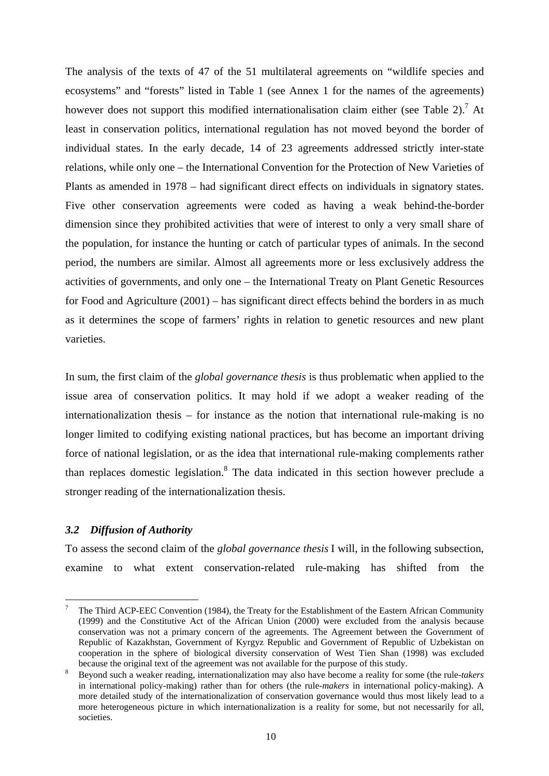The analysis of the texts of 47 of the 51 multilateral agreements on "wildlife species and ecosystems" and "forests" listed in Table 1 (see Annex 1 for the names of the agreements) however does not support this modified internationalisation claim either (see Table 2).<sup>7</sup> At least in conservation politics, international regulation has not moved beyond the border of individual states. In the early decade, 14 of 23 agreements addressed strictly inter-state relations, while only one – the International Convention for the Protection of New Varieties of Plants as amended in 1978 – had significant direct effects on individuals in signatory states. Five other conservation agreements were coded as having a weak behind-the-border dimension since they prohibited activities that were of interest to only a very small share of the population, for instance the hunting or catch of particular types of animals. In the second period, the numbers are similar. Almost all agreements more or less exclusively address the activities of governments, and only one – the International Treaty on Plant Genetic Resources for Food and Agriculture (2001) – has significant direct effects behind the borders in as much as it determines the scope of farmers' rights in relation to genetic resources and new plant varieties.

In sum, the first claim of the *global governance thesis* is thus problematic when applied to the issue area of conservation politics. It may hold if we adopt a weaker reading of the internationalization thesis – for instance as the notion that international rule-making is no longer limited to codifying existing national practices, but has become an important driving force of national legislation, or as the idea that international rule-making complements rather than replaces domestic legislation.<sup>8</sup> The data indicated in this section however preclude a stronger reading of the internationalization thesis.

## *3.2 Diffusion of Authority*

1

To assess the second claim of the *global governance thesis* I will, in the following subsection, examine to what extent conservation-related rule-making has shifted from the

<sup>7</sup> The Third ACP-EEC Convention (1984), the Treaty for the Establishment of the Eastern African Community (1999) and the Constitutive Act of the African Union (2000) were excluded from the analysis because conservation was not a primary concern of the agreements. The Agreement between the Government of Republic of Kazakhstan, Government of Kyrgyz Republic and Government of Republic of Uzbekistan on cooperation in the sphere of biological diversity conservation of West Tien Shan (1998) was excluded because the original text of the agreement was not available for the purpose of this study.

Beyond such a weaker reading, internationalization may also have become a reality for some (the rule-*takers*  in international policy-making) rather than for others (the rule-*makers* in international policy-making). A more detailed study of the internationalization of conservation governance would thus most likely lead to a more heterogeneous picture in which internationalization is a reality for some, but not necessarily for all, societies.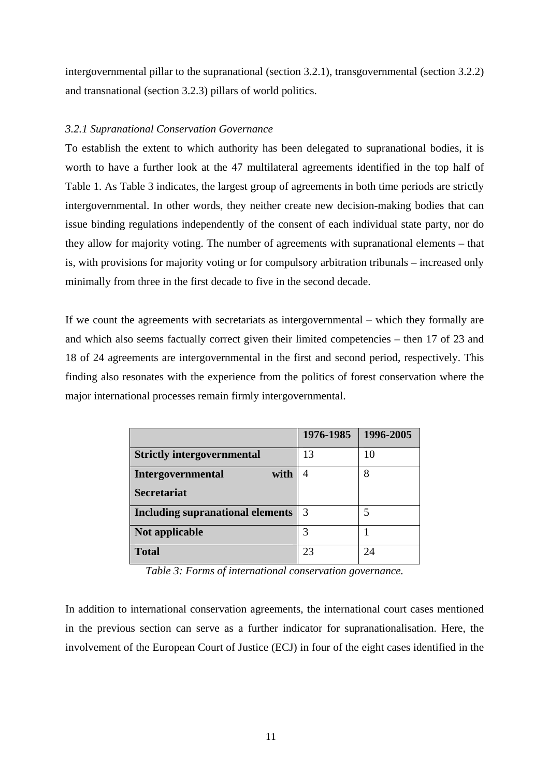intergovernmental pillar to the supranational (section 3.2.1), transgovernmental (section 3.2.2) and transnational (section 3.2.3) pillars of world politics.

## *3.2.1 Supranational Conservation Governance*

To establish the extent to which authority has been delegated to supranational bodies, it is worth to have a further look at the 47 multilateral agreements identified in the top half of Table 1. As Table 3 indicates, the largest group of agreements in both time periods are strictly intergovernmental. In other words, they neither create new decision-making bodies that can issue binding regulations independently of the consent of each individual state party, nor do they allow for majority voting. The number of agreements with supranational elements – that is, with provisions for majority voting or for compulsory arbitration tribunals – increased only minimally from three in the first decade to five in the second decade.

If we count the agreements with secretariats as intergovernmental – which they formally are and which also seems factually correct given their limited competencies – then 17 of 23 and 18 of 24 agreements are intergovernmental in the first and second period, respectively. This finding also resonates with the experience from the politics of forest conservation where the major international processes remain firmly intergovernmental.

|                                         | 1976-1985 | 1996-2005 |
|-----------------------------------------|-----------|-----------|
| <b>Strictly intergovernmental</b>       | 13        | 10        |
| <b>Intergovernmental</b><br>with        |           | 8         |
| <b>Secretariat</b>                      |           |           |
| <b>Including supranational elements</b> | 3         | 5         |
| Not applicable                          | 3         |           |
| <b>Total</b>                            | 23        | 24        |

*Table 3: Forms of international conservation governance.*

In addition to international conservation agreements, the international court cases mentioned in the previous section can serve as a further indicator for supranationalisation. Here, the involvement of the European Court of Justice (ECJ) in four of the eight cases identified in the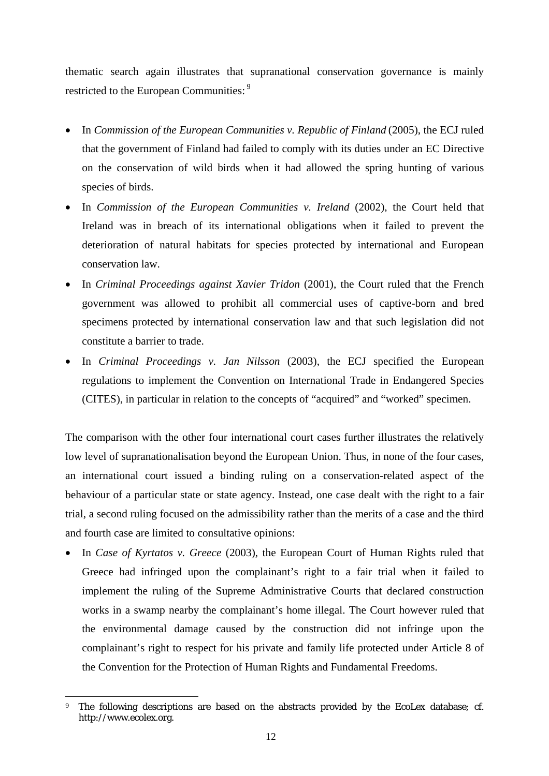thematic search again illustrates that supranational conservation governance is mainly restricted to the European Communities:<sup>9</sup>

- In *Commission of the European Communities v. Republic of Finland* (2005), the ECJ ruled that the government of Finland had failed to comply with its duties under an EC Directive on the conservation of wild birds when it had allowed the spring hunting of various species of birds.
- In *Commission of the European Communities v. Ireland* (2002), the Court held that Ireland was in breach of its international obligations when it failed to prevent the deterioration of natural habitats for species protected by international and European conservation law.
- In *Criminal Proceedings against Xavier Tridon* (2001), the Court ruled that the French government was allowed to prohibit all commercial uses of captive-born and bred specimens protected by international conservation law and that such legislation did not constitute a barrier to trade.
- In *Criminal Proceedings v. Jan Nilsson* (2003), the ECJ specified the European regulations to implement the Convention on International Trade in Endangered Species (CITES), in particular in relation to the concepts of "acquired" and "worked" specimen.

The comparison with the other four international court cases further illustrates the relatively low level of supranationalisation beyond the European Union. Thus, in none of the four cases, an international court issued a binding ruling on a conservation-related aspect of the behaviour of a particular state or state agency. Instead, one case dealt with the right to a fair trial, a second ruling focused on the admissibility rather than the merits of a case and the third and fourth case are limited to consultative opinions:

• In *Case of Kyrtatos v. Greece* (2003), the European Court of Human Rights ruled that Greece had infringed upon the complainant's right to a fair trial when it failed to implement the ruling of the Supreme Administrative Courts that declared construction works in a swamp nearby the complainant's home illegal. The Court however ruled that the environmental damage caused by the construction did not infringe upon the complainant's right to respect for his private and family life protected under Article 8 of the Convention for the Protection of Human Rights and Fundamental Freedoms.

<sup>&</sup>lt;u>.</u> The following descriptions are based on the abstracts provided by the EcoLex database; cf. http://www.ecolex.org.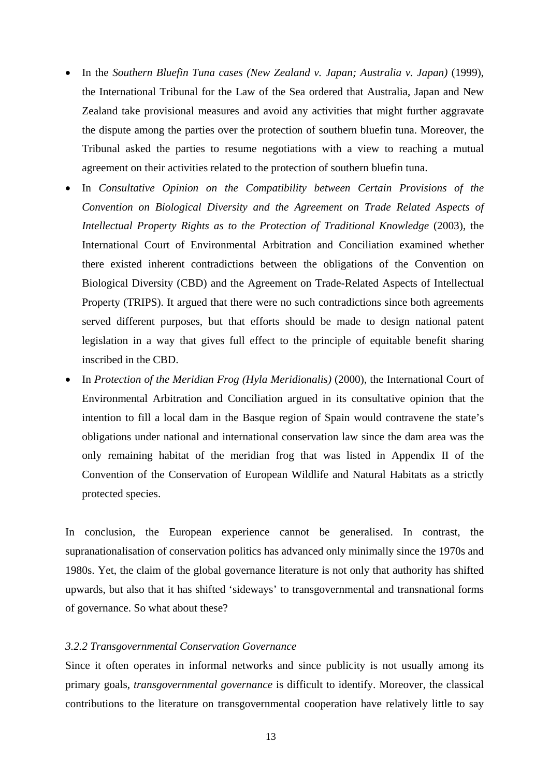- In the *Southern Bluefin Tuna cases (New Zealand v. Japan; Australia v. Japan)* (1999), the International Tribunal for the Law of the Sea ordered that Australia, Japan and New Zealand take provisional measures and avoid any activities that might further aggravate the dispute among the parties over the protection of southern bluefin tuna. Moreover, the Tribunal asked the parties to resume negotiations with a view to reaching a mutual agreement on their activities related to the protection of southern bluefin tuna.
- In *Consultative Opinion on the Compatibility between Certain Provisions of the Convention on Biological Diversity and the Agreement on Trade Related Aspects of Intellectual Property Rights as to the Protection of Traditional Knowledge* (2003), the International Court of Environmental Arbitration and Conciliation examined whether there existed inherent contradictions between the obligations of the Convention on Biological Diversity (CBD) and the Agreement on Trade-Related Aspects of Intellectual Property (TRIPS). It argued that there were no such contradictions since both agreements served different purposes, but that efforts should be made to design national patent legislation in a way that gives full effect to the principle of equitable benefit sharing inscribed in the CBD.
- In *Protection of the Meridian Frog (Hyla Meridionalis)* (2000), the International Court of Environmental Arbitration and Conciliation argued in its consultative opinion that the intention to fill a local dam in the Basque region of Spain would contravene the state's obligations under national and international conservation law since the dam area was the only remaining habitat of the meridian frog that was listed in Appendix II of the Convention of the Conservation of European Wildlife and Natural Habitats as a strictly protected species.

In conclusion, the European experience cannot be generalised. In contrast, the supranationalisation of conservation politics has advanced only minimally since the 1970s and 1980s. Yet, the claim of the global governance literature is not only that authority has shifted upwards, but also that it has shifted 'sideways' to transgovernmental and transnational forms of governance. So what about these?

## *3.2.2 Transgovernmental Conservation Governance*

Since it often operates in informal networks and since publicity is not usually among its primary goals, *transgovernmental governance* is difficult to identify. Moreover, the classical contributions to the literature on transgovernmental cooperation have relatively little to say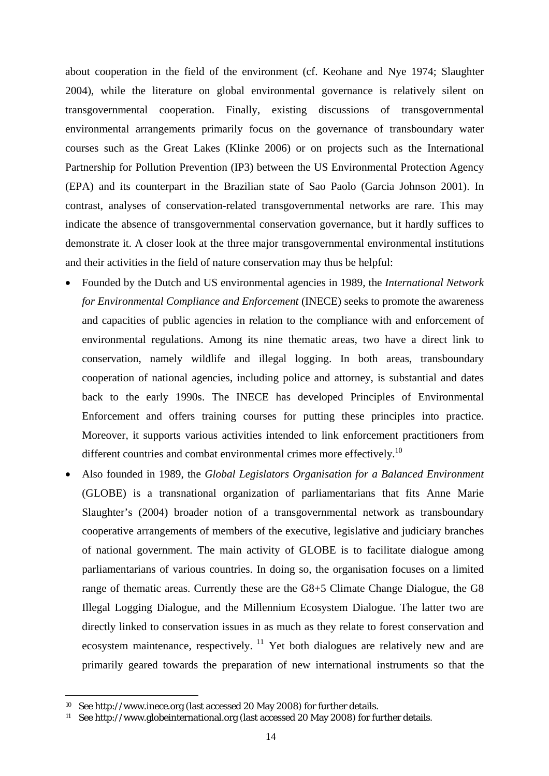about cooperation in the field of the environment (cf. Keohane and Nye 1974; Slaughter 2004), while the literature on global environmental governance is relatively silent on transgovernmental cooperation. Finally, existing discussions of transgovernmental environmental arrangements primarily focus on the governance of transboundary water courses such as the Great Lakes (Klinke 2006) or on projects such as the International Partnership for Pollution Prevention (IP3) between the US Environmental Protection Agency (EPA) and its counterpart in the Brazilian state of Sao Paolo (Garcia Johnson 2001). In contrast, analyses of conservation-related transgovernmental networks are rare. This may indicate the absence of transgovernmental conservation governance, but it hardly suffices to demonstrate it. A closer look at the three major transgovernmental environmental institutions and their activities in the field of nature conservation may thus be helpful:

- Founded by the Dutch and US environmental agencies in 1989, the *International Network for Environmental Compliance and Enforcement* (INECE) seeks to promote the awareness and capacities of public agencies in relation to the compliance with and enforcement of environmental regulations. Among its nine thematic areas, two have a direct link to conservation, namely wildlife and illegal logging. In both areas, transboundary cooperation of national agencies, including police and attorney, is substantial and dates back to the early 1990s. The INECE has developed Principles of Environmental Enforcement and offers training courses for putting these principles into practice. Moreover, it supports various activities intended to link enforcement practitioners from different countries and combat environmental crimes more effectively.<sup>10</sup>
- Also founded in 1989, the *Global Legislators Organisation for a Balanced Environment* (GLOBE) is a transnational organization of parliamentarians that fits Anne Marie Slaughter's (2004) broader notion of a transgovernmental network as transboundary cooperative arrangements of members of the executive, legislative and judiciary branches of national government. The main activity of GLOBE is to facilitate dialogue among parliamentarians of various countries. In doing so, the organisation focuses on a limited range of thematic areas. Currently these are the G8+5 Climate Change Dialogue, the G8 Illegal Logging Dialogue, and the Millennium Ecosystem Dialogue. The latter two are directly linked to conservation issues in as much as they relate to forest conservation and ecosystem maintenance, respectively.  $\frac{11}{11}$  Yet both dialogues are relatively new and are primarily geared towards the preparation of new international instruments so that the

<sup>10</sup> See http://www.inece.org (last accessed 20 May 2008) for further details.

<sup>11</sup> See http://www.globeinternational.org (last accessed 20 May 2008) for further details.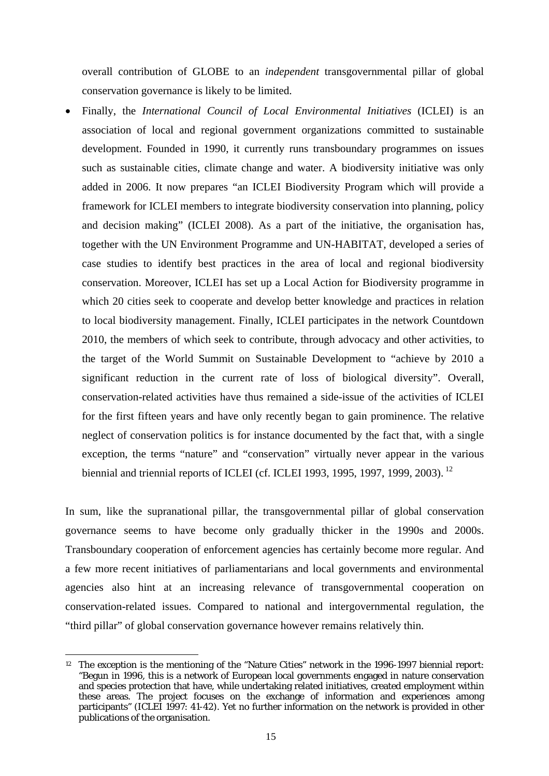overall contribution of GLOBE to an *independent* transgovernmental pillar of global conservation governance is likely to be limited.

• Finally, the *International Council of Local Environmental Initiatives* (ICLEI) is an association of local and regional government organizations committed to sustainable development. Founded in 1990, it currently runs transboundary programmes on issues such as sustainable cities, climate change and water. A biodiversity initiative was only added in 2006. It now prepares "an ICLEI Biodiversity Program which will provide a framework for ICLEI members to integrate biodiversity conservation into planning, policy and decision making" (ICLEI 2008). As a part of the initiative, the organisation has, together with the UN Environment Programme and UN-HABITAT, developed a series of case studies to identify best practices in the area of local and regional biodiversity conservation. Moreover, ICLEI has set up a Local Action for Biodiversity programme in which 20 cities seek to cooperate and develop better knowledge and practices in relation to local biodiversity management. Finally, ICLEI participates in the network Countdown 2010, the members of which seek to contribute, through advocacy and other activities, to the target of the World Summit on Sustainable Development to "achieve by 2010 a significant reduction in the current rate of loss of biological diversity". Overall, conservation-related activities have thus remained a side-issue of the activities of ICLEI for the first fifteen years and have only recently began to gain prominence. The relative neglect of conservation politics is for instance documented by the fact that, with a single exception, the terms "nature" and "conservation" virtually never appear in the various biennial and triennial reports of ICLEI (cf. ICLEI 1993, 1995, 1997, 1999, 2003).<sup>12</sup>

In sum, like the supranational pillar, the transgovernmental pillar of global conservation governance seems to have become only gradually thicker in the 1990s and 2000s. Transboundary cooperation of enforcement agencies has certainly become more regular. And a few more recent initiatives of parliamentarians and local governments and environmental agencies also hint at an increasing relevance of transgovernmental cooperation on conservation-related issues. Compared to national and intergovernmental regulation, the "third pillar" of global conservation governance however remains relatively thin.

<sup>1</sup> <sup>12</sup> The exception is the mentioning of the "Nature Cities" network in the 1996-1997 biennial report: "Begun in 1996, this is a network of European local governments engaged in nature conservation and species protection that have, while undertaking related initiatives, created employment within these areas. The project focuses on the exchange of information and experiences among participants" (ICLEI 1997: 41-42). Yet no further information on the network is provided in other publications of the organisation.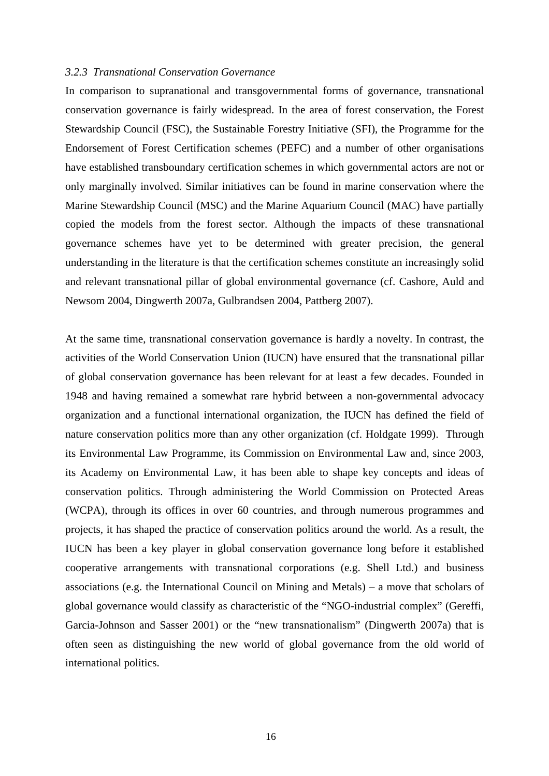#### *3.2.3 Transnational Conservation Governance*

In comparison to supranational and transgovernmental forms of governance, transnational conservation governance is fairly widespread. In the area of forest conservation, the Forest Stewardship Council (FSC), the Sustainable Forestry Initiative (SFI), the Programme for the Endorsement of Forest Certification schemes (PEFC) and a number of other organisations have established transboundary certification schemes in which governmental actors are not or only marginally involved. Similar initiatives can be found in marine conservation where the Marine Stewardship Council (MSC) and the Marine Aquarium Council (MAC) have partially copied the models from the forest sector. Although the impacts of these transnational governance schemes have yet to be determined with greater precision, the general understanding in the literature is that the certification schemes constitute an increasingly solid and relevant transnational pillar of global environmental governance (cf. Cashore, Auld and Newsom 2004, Dingwerth 2007a, Gulbrandsen 2004, Pattberg 2007).

At the same time, transnational conservation governance is hardly a novelty. In contrast, the activities of the World Conservation Union (IUCN) have ensured that the transnational pillar of global conservation governance has been relevant for at least a few decades. Founded in 1948 and having remained a somewhat rare hybrid between a non-governmental advocacy organization and a functional international organization, the IUCN has defined the field of nature conservation politics more than any other organization (cf. Holdgate 1999). Through its Environmental Law Programme, its Commission on Environmental Law and, since 2003, its Academy on Environmental Law, it has been able to shape key concepts and ideas of conservation politics. Through administering the World Commission on Protected Areas (WCPA), through its offices in over 60 countries, and through numerous programmes and projects, it has shaped the practice of conservation politics around the world. As a result, the IUCN has been a key player in global conservation governance long before it established cooperative arrangements with transnational corporations (e.g. Shell Ltd.) and business associations (e.g. the International Council on Mining and Metals) – a move that scholars of global governance would classify as characteristic of the "NGO-industrial complex" (Gereffi, Garcia-Johnson and Sasser 2001) or the "new transnationalism" (Dingwerth 2007a) that is often seen as distinguishing the new world of global governance from the old world of international politics.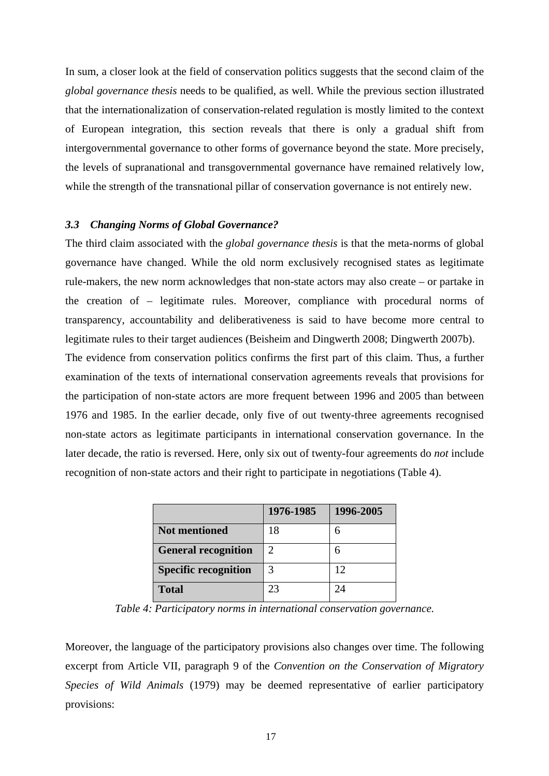In sum, a closer look at the field of conservation politics suggests that the second claim of the *global governance thesis* needs to be qualified, as well. While the previous section illustrated that the internationalization of conservation-related regulation is mostly limited to the context of European integration, this section reveals that there is only a gradual shift from intergovernmental governance to other forms of governance beyond the state. More precisely, the levels of supranational and transgovernmental governance have remained relatively low, while the strength of the transnational pillar of conservation governance is not entirely new.

### *3.3 Changing Norms of Global Governance?*

The third claim associated with the *global governance thesis* is that the meta-norms of global governance have changed. While the old norm exclusively recognised states as legitimate rule-makers, the new norm acknowledges that non-state actors may also create – or partake in the creation of – legitimate rules. Moreover, compliance with procedural norms of transparency, accountability and deliberativeness is said to have become more central to legitimate rules to their target audiences (Beisheim and Dingwerth 2008; Dingwerth 2007b).

The evidence from conservation politics confirms the first part of this claim. Thus, a further examination of the texts of international conservation agreements reveals that provisions for the participation of non-state actors are more frequent between 1996 and 2005 than between 1976 and 1985. In the earlier decade, only five of out twenty-three agreements recognised non-state actors as legitimate participants in international conservation governance. In the later decade, the ratio is reversed. Here, only six out of twenty-four agreements do *not* include recognition of non-state actors and their right to participate in negotiations (Table 4).

|                             | 1976-1985 | 1996-2005 |
|-----------------------------|-----------|-----------|
| <b>Not mentioned</b>        | 18        |           |
| <b>General recognition</b>  | 2         |           |
| <b>Specific recognition</b> | 3         | 12        |
| <b>Total</b>                | 23        | 7Δ        |

*Table 4: Participatory norms in international conservation governance.*

Moreover, the language of the participatory provisions also changes over time. The following excerpt from Article VII, paragraph 9 of the *Convention on the Conservation of Migratory Species of Wild Animals* (1979) may be deemed representative of earlier participatory provisions: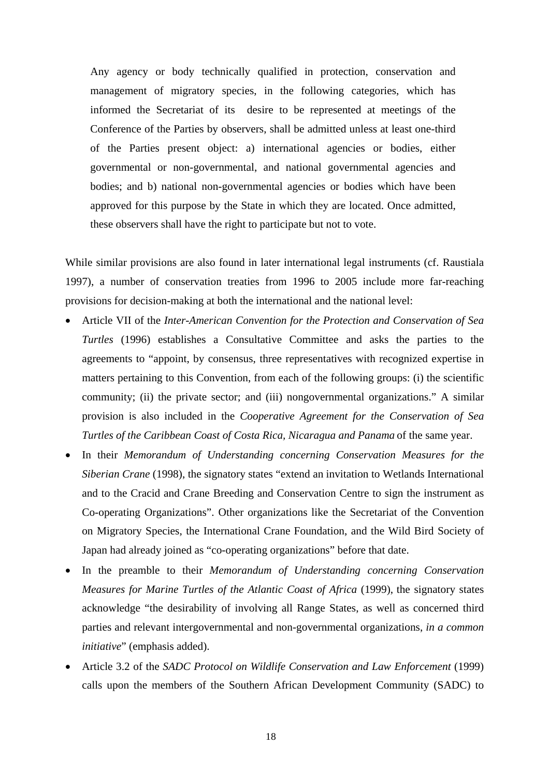Any agency or body technically qualified in protection, conservation and management of migratory species, in the following categories, which has informed the Secretariat of its desire to be represented at meetings of the Conference of the Parties by observers, shall be admitted unless at least one-third of the Parties present object: a) international agencies or bodies, either governmental or non-governmental, and national governmental agencies and bodies; and b) national non-governmental agencies or bodies which have been approved for this purpose by the State in which they are located. Once admitted, these observers shall have the right to participate but not to vote.

While similar provisions are also found in later international legal instruments (cf. Raustiala 1997), a number of conservation treaties from 1996 to 2005 include more far-reaching provisions for decision-making at both the international and the national level:

- Article VII of the *Inter-American Convention for the Protection and Conservation of Sea Turtles* (1996) establishes a Consultative Committee and asks the parties to the agreements to "appoint, by consensus, three representatives with recognized expertise in matters pertaining to this Convention, from each of the following groups: (i) the scientific community; (ii) the private sector; and (iii) nongovernmental organizations." A similar provision is also included in the *Cooperative Agreement for the Conservation of Sea Turtles of the Caribbean Coast of Costa Rica, Nicaragua and Panama* of the same year.
- In their *Memorandum of Understanding concerning Conservation Measures for the Siberian Crane* (1998), the signatory states "extend an invitation to Wetlands International and to the Cracid and Crane Breeding and Conservation Centre to sign the instrument as Co-operating Organizations". Other organizations like the Secretariat of the Convention on Migratory Species, the International Crane Foundation, and the Wild Bird Society of Japan had already joined as "co-operating organizations" before that date.
- In the preamble to their *Memorandum of Understanding concerning Conservation Measures for Marine Turtles of the Atlantic Coast of Africa* (1999), the signatory states acknowledge "the desirability of involving all Range States, as well as concerned third parties and relevant intergovernmental and non-governmental organizations, *in a common initiative*" (emphasis added).
- Article 3.2 of the *SADC Protocol on Wildlife Conservation and Law Enforcement* (1999) calls upon the members of the Southern African Development Community (SADC) to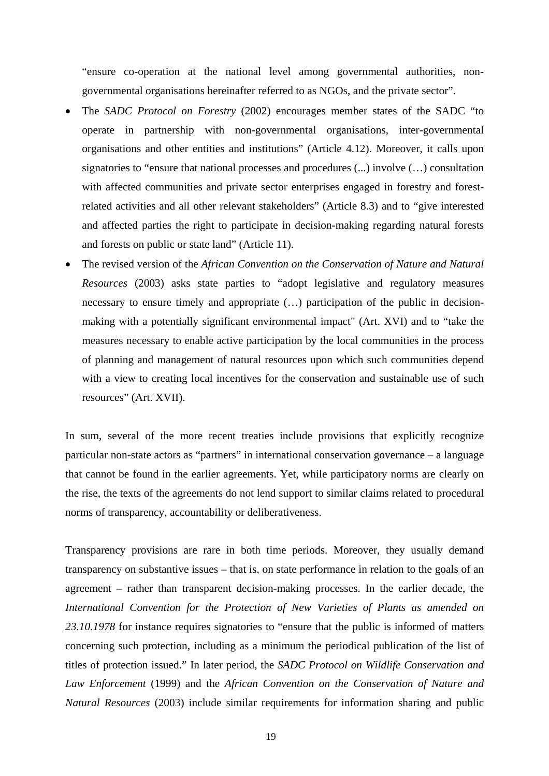"ensure co-operation at the national level among governmental authorities, nongovernmental organisations hereinafter referred to as NGOs, and the private sector".

- The *SADC Protocol on Forestry* (2002) encourages member states of the SADC "to operate in partnership with non-governmental organisations, inter-governmental organisations and other entities and institutions" (Article 4.12). Moreover, it calls upon signatories to "ensure that national processes and procedures (...) involve (...) consultation with affected communities and private sector enterprises engaged in forestry and forestrelated activities and all other relevant stakeholders" (Article 8.3) and to "give interested and affected parties the right to participate in decision-making regarding natural forests and forests on public or state land" (Article 11).
- The revised version of the *African Convention on the Conservation of Nature and Natural Resources* (2003) asks state parties to "adopt legislative and regulatory measures necessary to ensure timely and appropriate (…) participation of the public in decisionmaking with a potentially significant environmental impact" (Art. XVI) and to "take the measures necessary to enable active participation by the local communities in the process of planning and management of natural resources upon which such communities depend with a view to creating local incentives for the conservation and sustainable use of such resources" (Art. XVII).

In sum, several of the more recent treaties include provisions that explicitly recognize particular non-state actors as "partners" in international conservation governance – a language that cannot be found in the earlier agreements. Yet, while participatory norms are clearly on the rise, the texts of the agreements do not lend support to similar claims related to procedural norms of transparency, accountability or deliberativeness.

Transparency provisions are rare in both time periods. Moreover, they usually demand transparency on substantive issues – that is, on state performance in relation to the goals of an agreement – rather than transparent decision-making processes. In the earlier decade, the *International Convention for the Protection of New Varieties of Plants as amended on 23.10.1978* for instance requires signatories to "ensure that the public is informed of matters concerning such protection, including as a minimum the periodical publication of the list of titles of protection issued." In later period, the *SADC Protocol on Wildlife Conservation and Law Enforcement* (1999) and the *African Convention on the Conservation of Nature and Natural Resources* (2003) include similar requirements for information sharing and public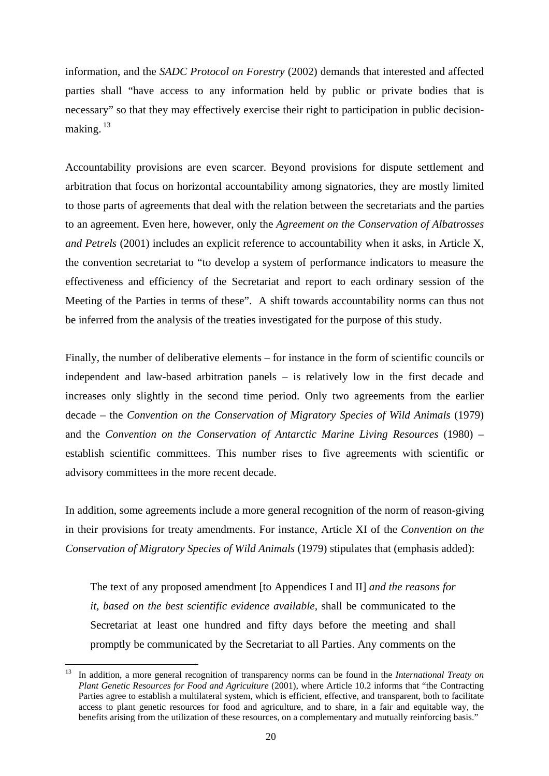information, and the *SADC Protocol on Forestry* (2002) demands that interested and affected parties shall "have access to any information held by public or private bodies that is necessary" so that they may effectively exercise their right to participation in public decisionmaking.  $^{13}$ 

Accountability provisions are even scarcer. Beyond provisions for dispute settlement and arbitration that focus on horizontal accountability among signatories, they are mostly limited to those parts of agreements that deal with the relation between the secretariats and the parties to an agreement. Even here, however, only the *Agreement on the Conservation of Albatrosses and Petrels* (2001) includes an explicit reference to accountability when it asks, in Article X, the convention secretariat to "to develop a system of performance indicators to measure the effectiveness and efficiency of the Secretariat and report to each ordinary session of the Meeting of the Parties in terms of these". A shift towards accountability norms can thus not be inferred from the analysis of the treaties investigated for the purpose of this study.

Finally, the number of deliberative elements – for instance in the form of scientific councils or independent and law-based arbitration panels – is relatively low in the first decade and increases only slightly in the second time period. Only two agreements from the earlier decade – the *Convention on the Conservation of Migratory Species of Wild Animals* (1979) and the *Convention on the Conservation of Antarctic Marine Living Resources* (1980) – establish scientific committees. This number rises to five agreements with scientific or advisory committees in the more recent decade.

In addition, some agreements include a more general recognition of the norm of reason-giving in their provisions for treaty amendments. For instance, Article XI of the *Convention on the Conservation of Migratory Species of Wild Animals* (1979) stipulates that (emphasis added):

The text of any proposed amendment [to Appendices I and II] *and the reasons for it, based on the best scientific evidence available,* shall be communicated to the Secretariat at least one hundred and fifty days before the meeting and shall promptly be communicated by the Secretariat to all Parties. Any comments on the

<sup>13</sup> In addition, a more general recognition of transparency norms can be found in the *International Treaty on Plant Genetic Resources for Food and Agriculture* (2001), where Article 10.2 informs that "the Contracting Parties agree to establish a multilateral system, which is efficient, effective, and transparent, both to facilitate access to plant genetic resources for food and agriculture, and to share, in a fair and equitable way, the benefits arising from the utilization of these resources, on a complementary and mutually reinforcing basis."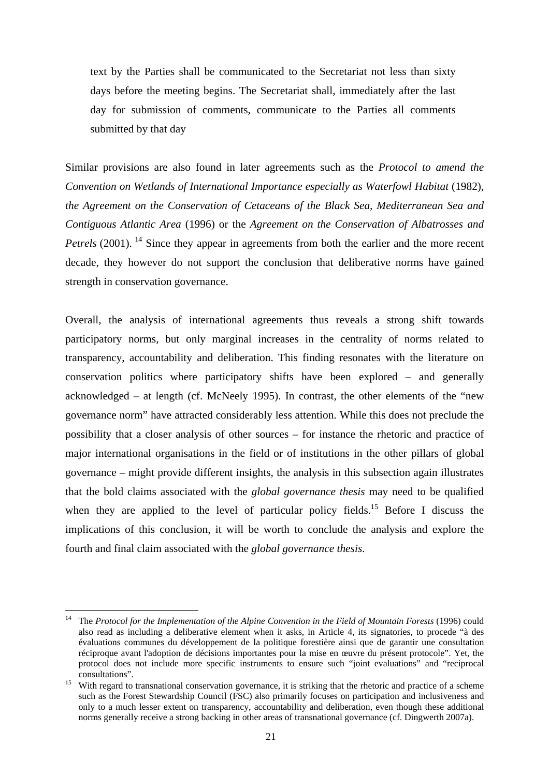text by the Parties shall be communicated to the Secretariat not less than sixty days before the meeting begins. The Secretariat shall, immediately after the last day for submission of comments, communicate to the Parties all comments submitted by that day

Similar provisions are also found in later agreements such as the *Protocol to amend the Convention on Wetlands of International Importance especially as Waterfowl Habitat* (1982), *the Agreement on the Conservation of Cetaceans of the Black Sea, Mediterranean Sea and Contiguous Atlantic Area* (1996) or the *Agreement on the Conservation of Albatrosses and Petrels* (2001). <sup>14</sup> Since they appear in agreements from both the earlier and the more recent decade, they however do not support the conclusion that deliberative norms have gained strength in conservation governance.

Overall, the analysis of international agreements thus reveals a strong shift towards participatory norms, but only marginal increases in the centrality of norms related to transparency, accountability and deliberation. This finding resonates with the literature on conservation politics where participatory shifts have been explored – and generally acknowledged – at length (cf. McNeely 1995). In contrast, the other elements of the "new governance norm" have attracted considerably less attention. While this does not preclude the possibility that a closer analysis of other sources – for instance the rhetoric and practice of major international organisations in the field or of institutions in the other pillars of global governance – might provide different insights, the analysis in this subsection again illustrates that the bold claims associated with the *global governance thesis* may need to be qualified when they are applied to the level of particular policy fields.<sup>15</sup> Before I discuss the implications of this conclusion, it will be worth to conclude the analysis and explore the fourth and final claim associated with the *global governance thesis*.

<sup>&</sup>lt;sup>14</sup> The *Protocol for the Implementation of the Alpine Convention in the Field of Mountain Forests (1996) could* also read as including a deliberative element when it asks, in Article 4, its signatories, to procede "à des évaluations communes du développement de la politique forestière ainsi que de garantir une consultation réciproque avant l'adoption de décisions importantes pour la mise en œuvre du présent protocole". Yet, the protocol does not include more specific instruments to ensure such "joint evaluations" and "reciprocal consultations". 15 With regard to transnational conservation governance, it is striking that the rhetoric and practice of a scheme

such as the Forest Stewardship Council (FSC) also primarily focuses on participation and inclusiveness and only to a much lesser extent on transparency, accountability and deliberation, even though these additional norms generally receive a strong backing in other areas of transnational governance (cf. Dingwerth 2007a).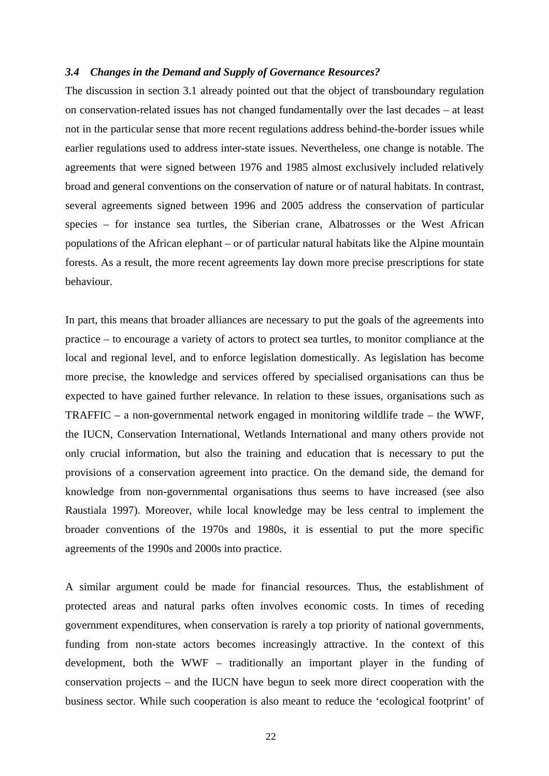### *3.4 Changes in the Demand and Supply of Governance Resources?*

The discussion in section 3.1 already pointed out that the object of transboundary regulation on conservation-related issues has not changed fundamentally over the last decades – at least not in the particular sense that more recent regulations address behind-the-border issues while earlier regulations used to address inter-state issues. Nevertheless, one change is notable. The agreements that were signed between 1976 and 1985 almost exclusively included relatively broad and general conventions on the conservation of nature or of natural habitats. In contrast, several agreements signed between 1996 and 2005 address the conservation of particular species – for instance sea turtles, the Siberian crane, Albatrosses or the West African populations of the African elephant – or of particular natural habitats like the Alpine mountain forests. As a result, the more recent agreements lay down more precise prescriptions for state behaviour.

In part, this means that broader alliances are necessary to put the goals of the agreements into practice – to encourage a variety of actors to protect sea turtles, to monitor compliance at the local and regional level, and to enforce legislation domestically. As legislation has become more precise, the knowledge and services offered by specialised organisations can thus be expected to have gained further relevance. In relation to these issues, organisations such as TRAFFIC – a non-governmental network engaged in monitoring wildlife trade – the WWF, the IUCN, Conservation International, Wetlands International and many others provide not only crucial information, but also the training and education that is necessary to put the provisions of a conservation agreement into practice. On the demand side, the demand for knowledge from non-governmental organisations thus seems to have increased (see also Raustiala 1997). Moreover, while local knowledge may be less central to implement the broader conventions of the 1970s and 1980s, it is essential to put the more specific agreements of the 1990s and 2000s into practice.

A similar argument could be made for financial resources. Thus, the establishment of protected areas and natural parks often involves economic costs. In times of receding government expenditures, when conservation is rarely a top priority of national governments, funding from non-state actors becomes increasingly attractive. In the context of this development, both the WWF – traditionally an important player in the funding of conservation projects – and the IUCN have begun to seek more direct cooperation with the business sector. While such cooperation is also meant to reduce the 'ecological footprint' of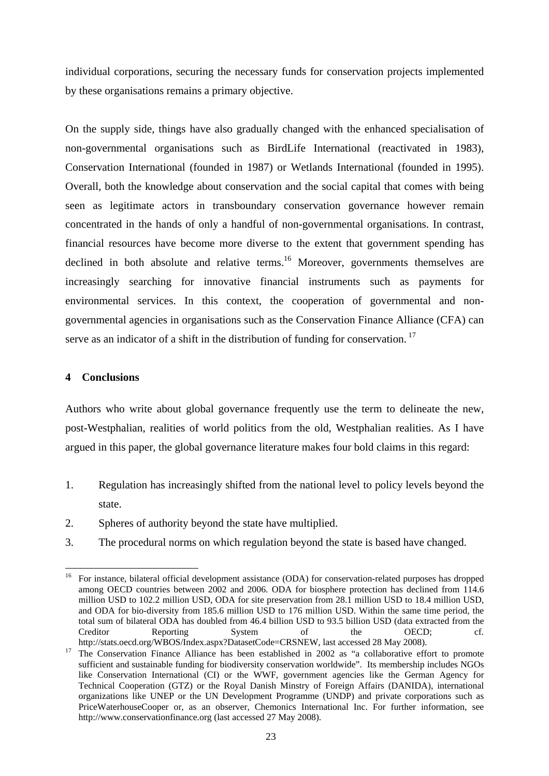individual corporations, securing the necessary funds for conservation projects implemented by these organisations remains a primary objective.

On the supply side, things have also gradually changed with the enhanced specialisation of non-governmental organisations such as BirdLife International (reactivated in 1983), Conservation International (founded in 1987) or Wetlands International (founded in 1995). Overall, both the knowledge about conservation and the social capital that comes with being seen as legitimate actors in transboundary conservation governance however remain concentrated in the hands of only a handful of non-governmental organisations. In contrast, financial resources have become more diverse to the extent that government spending has declined in both absolute and relative terms.<sup>16</sup> Moreover, governments themselves are increasingly searching for innovative financial instruments such as payments for environmental services. In this context, the cooperation of governmental and nongovernmental agencies in organisations such as the Conservation Finance Alliance (CFA) can serve as an indicator of a shift in the distribution of funding for conservation.<sup>17</sup>

## **4 Conclusions**

Authors who write about global governance frequently use the term to delineate the new, post-Westphalian, realities of world politics from the old, Westphalian realities. As I have argued in this paper, the global governance literature makes four bold claims in this regard:

- 1. Regulation has increasingly shifted from the national level to policy levels beyond the state.
- 2. Spheres of authority beyond the state have multiplied.
- 3. The procedural norms on which regulation beyond the state is based have changed.

<sup>1</sup> <sup>16</sup> For instance, bilateral official development assistance (ODA) for conservation-related purposes has dropped among OECD countries between 2002 and 2006. ODA for biosphere protection has declined from 114.6 million USD to 102.2 million USD, ODA for site preservation from 28.1 million USD to 18.4 million USD, and ODA for bio-diversity from 185.6 million USD to 176 million USD. Within the same time period, the total sum of bilateral ODA has doubled from 46.4 billion USD to 93.5 billion USD (data extracted from the Creditor Reporting System of the OECD; cf.

http://stats.oecd.org/WBOS/Index.aspx?DatasetCode=CRSNEW, last accessed 28 May 2008).<br><sup>17</sup> The Conservation Finance Alliance has been established in 2002 as "a collaborative effort to promote sufficient and sustainable funding for biodiversity conservation worldwide". Its membership includes NGOs like Conservation International (CI) or the WWF, government agencies like the German Agency for Technical Cooperation (GTZ) or the Royal Danish Minstry of Foreign Affairs (DANIDA), international organizations like UNEP or the UN Development Programme (UNDP) and private corporations such as PriceWaterhouseCooper or, as an observer, Chemonics International Inc. For further information, see http://www.conservationfinance.org (last accessed 27 May 2008).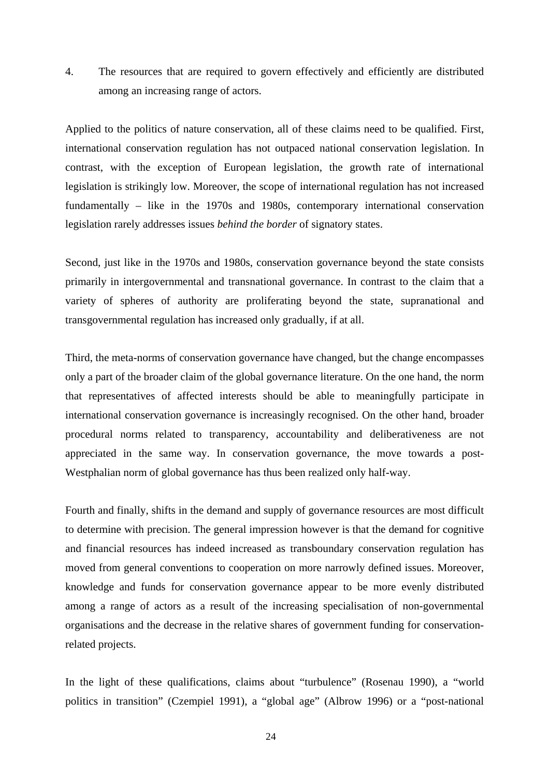4. The resources that are required to govern effectively and efficiently are distributed among an increasing range of actors.

Applied to the politics of nature conservation, all of these claims need to be qualified. First, international conservation regulation has not outpaced national conservation legislation. In contrast, with the exception of European legislation, the growth rate of international legislation is strikingly low. Moreover, the scope of international regulation has not increased fundamentally – like in the 1970s and 1980s, contemporary international conservation legislation rarely addresses issues *behind the border* of signatory states.

Second, just like in the 1970s and 1980s, conservation governance beyond the state consists primarily in intergovernmental and transnational governance. In contrast to the claim that a variety of spheres of authority are proliferating beyond the state, supranational and transgovernmental regulation has increased only gradually, if at all.

Third, the meta-norms of conservation governance have changed, but the change encompasses only a part of the broader claim of the global governance literature. On the one hand, the norm that representatives of affected interests should be able to meaningfully participate in international conservation governance is increasingly recognised. On the other hand, broader procedural norms related to transparency, accountability and deliberativeness are not appreciated in the same way. In conservation governance, the move towards a post-Westphalian norm of global governance has thus been realized only half-way.

Fourth and finally, shifts in the demand and supply of governance resources are most difficult to determine with precision. The general impression however is that the demand for cognitive and financial resources has indeed increased as transboundary conservation regulation has moved from general conventions to cooperation on more narrowly defined issues. Moreover, knowledge and funds for conservation governance appear to be more evenly distributed among a range of actors as a result of the increasing specialisation of non-governmental organisations and the decrease in the relative shares of government funding for conservationrelated projects.

In the light of these qualifications, claims about "turbulence" (Rosenau 1990), a "world politics in transition" (Czempiel 1991), a "global age" (Albrow 1996) or a "post-national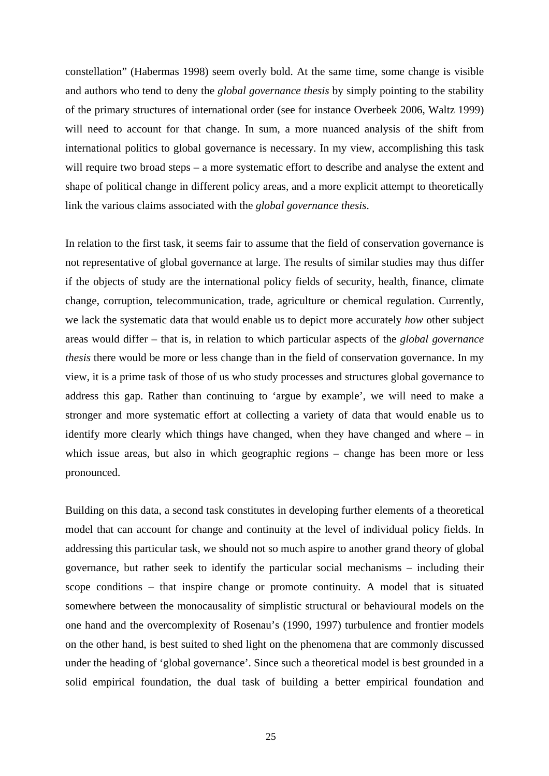constellation" (Habermas 1998) seem overly bold. At the same time, some change is visible and authors who tend to deny the *global governance thesis* by simply pointing to the stability of the primary structures of international order (see for instance Overbeek 2006, Waltz 1999) will need to account for that change. In sum, a more nuanced analysis of the shift from international politics to global governance is necessary. In my view, accomplishing this task will require two broad steps – a more systematic effort to describe and analyse the extent and shape of political change in different policy areas, and a more explicit attempt to theoretically link the various claims associated with the *global governance thesis*.

In relation to the first task, it seems fair to assume that the field of conservation governance is not representative of global governance at large. The results of similar studies may thus differ if the objects of study are the international policy fields of security, health, finance, climate change, corruption, telecommunication, trade, agriculture or chemical regulation. Currently, we lack the systematic data that would enable us to depict more accurately *how* other subject areas would differ – that is, in relation to which particular aspects of the *global governance thesis* there would be more or less change than in the field of conservation governance. In my view, it is a prime task of those of us who study processes and structures global governance to address this gap. Rather than continuing to 'argue by example', we will need to make a stronger and more systematic effort at collecting a variety of data that would enable us to identify more clearly which things have changed, when they have changed and where – in which issue areas, but also in which geographic regions – change has been more or less pronounced.

Building on this data, a second task constitutes in developing further elements of a theoretical model that can account for change and continuity at the level of individual policy fields. In addressing this particular task, we should not so much aspire to another grand theory of global governance, but rather seek to identify the particular social mechanisms – including their scope conditions – that inspire change or promote continuity. A model that is situated somewhere between the monocausality of simplistic structural or behavioural models on the one hand and the overcomplexity of Rosenau's (1990, 1997) turbulence and frontier models on the other hand, is best suited to shed light on the phenomena that are commonly discussed under the heading of 'global governance'. Since such a theoretical model is best grounded in a solid empirical foundation, the dual task of building a better empirical foundation and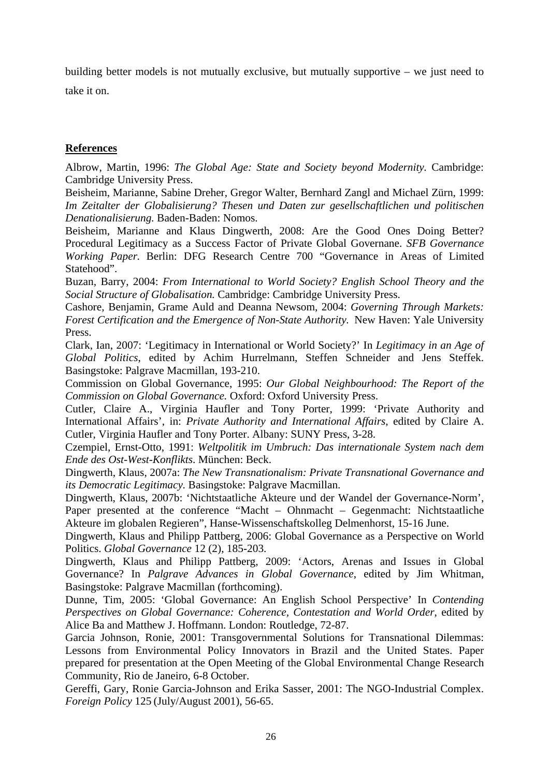building better models is not mutually exclusive, but mutually supportive – we just need to take it on.

# **References**

Albrow, Martin, 1996: *The Global Age: State and Society beyond Modernity.* Cambridge: Cambridge University Press.

Beisheim, Marianne, Sabine Dreher, Gregor Walter, Bernhard Zangl and Michael Zürn, 1999: *Im Zeitalter der Globalisierung? Thesen und Daten zur gesellschaftlichen und politischen Denationalisierung.* Baden-Baden: Nomos.

Beisheim, Marianne and Klaus Dingwerth, 2008: Are the Good Ones Doing Better? Procedural Legitimacy as a Success Factor of Private Global Governane. *SFB Governance Working Paper.* Berlin: DFG Research Centre 700 "Governance in Areas of Limited Statehood".

Buzan, Barry, 2004: *From International to World Society? English School Theory and the Social Structure of Globalisation.* Cambridge: Cambridge University Press.

Cashore, Benjamin, Grame Auld and Deanna Newsom, 2004: *Governing Through Markets: Forest Certification and the Emergence of Non-State Authority.* New Haven: Yale University Press.

Clark, Ian, 2007: 'Legitimacy in International or World Society?' In *Legitimacy in an Age of Global Politics*, edited by Achim Hurrelmann, Steffen Schneider and Jens Steffek. Basingstoke: Palgrave Macmillan, 193-210.

Commission on Global Governance, 1995: *Our Global Neighbourhood: The Report of the Commission on Global Governance.* Oxford: Oxford University Press.

Cutler, Claire A., Virginia Haufler and Tony Porter, 1999: 'Private Authority and International Affairs', in: *Private Authority and International Affairs*, edited by Claire A. Cutler, Virginia Haufler and Tony Porter. Albany: SUNY Press, 3-28.

Czempiel, Ernst-Otto, 1991: *Weltpolitik im Umbruch: Das internationale System nach dem Ende des Ost-West-Konflikts*. München: Beck.

Dingwerth, Klaus, 2007a: *The New Transnationalism: Private Transnational Governance and its Democratic Legitimacy.* Basingstoke: Palgrave Macmillan.

Dingwerth, Klaus, 2007b: 'Nichtstaatliche Akteure und der Wandel der Governance-Norm', Paper presented at the conference "Macht – Ohnmacht – Gegenmacht: Nichtstaatliche Akteure im globalen Regieren", Hanse-Wissenschaftskolleg Delmenhorst, 15-16 June.

Dingwerth, Klaus and Philipp Pattberg, 2006: Global Governance as a Perspective on World Politics. *Global Governance* 12 (2), 185-203.

Dingwerth, Klaus and Philipp Pattberg, 2009: 'Actors, Arenas and Issues in Global Governance? In *Palgrave Advances in Global Governance*, edited by Jim Whitman, Basingstoke: Palgrave Macmillan (forthcoming).

Dunne, Tim, 2005: 'Global Governance: An English School Perspective' In *Contending Perspectives on Global Governance: Coherence, Contestation and World Order*, edited by Alice Ba and Matthew J. Hoffmann. London: Routledge, 72-87.

Garcia Johnson, Ronie, 2001: Transgovernmental Solutions for Transnational Dilemmas: Lessons from Environmental Policy Innovators in Brazil and the United States. Paper prepared for presentation at the Open Meeting of the Global Environmental Change Research Community, Rio de Janeiro, 6-8 October.

Gereffi, Gary, Ronie Garcia-Johnson and Erika Sasser, 2001: The NGO-Industrial Complex. *Foreign Policy* 125 (July/August 2001), 56-65.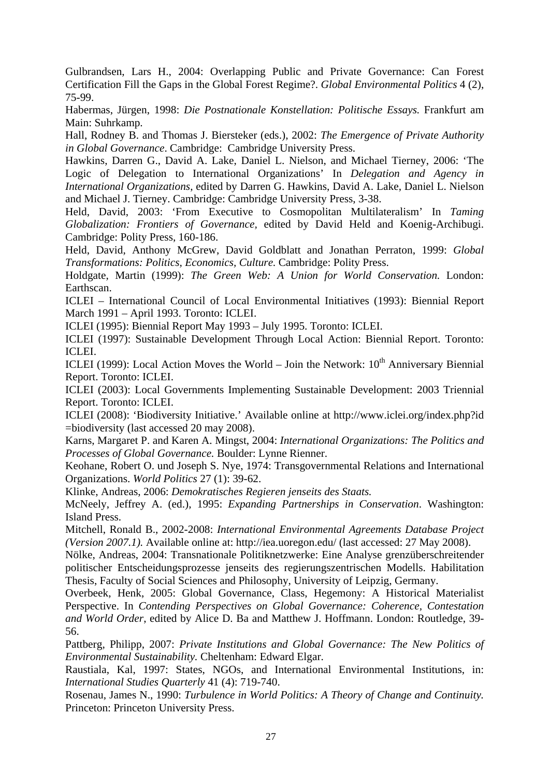Gulbrandsen, Lars H., 2004: Overlapping Public and Private Governance: Can Forest Certification Fill the Gaps in the Global Forest Regime?. *Global Environmental Politics* 4 (2), 75-99.

Habermas, Jürgen, 1998: *Die Postnationale Konstellation: Politische Essays.* Frankfurt am Main: Suhrkamp.

Hall, Rodney B. and Thomas J. Biersteker (eds.), 2002: *The Emergence of Private Authority in Global Governance*. Cambridge: Cambridge University Press.

Hawkins, Darren G., David A. Lake, Daniel L. Nielson, and Michael Tierney, 2006: 'The Logic of Delegation to International Organizations' In *Delegation and Agency in International Organizations*, edited by Darren G. Hawkins, David A. Lake, Daniel L. Nielson and Michael J. Tierney. Cambridge: Cambridge University Press, 3-38.

Held, David, 2003: 'From Executive to Cosmopolitan Multilateralism' In *Taming Globalization: Frontiers of Governance,* edited by David Held and Koenig-Archibugi. Cambridge: Polity Press, 160-186.

Held, David, Anthony McGrew, David Goldblatt and Jonathan Perraton, 1999: *Global Transformations: Politics, Economics, Culture.* Cambridge: Polity Press.

Holdgate, Martin (1999): *The Green Web: A Union for World Conservation.* London: Earthscan.

ICLEI – International Council of Local Environmental Initiatives (1993): Biennial Report March 1991 – April 1993. Toronto: ICLEI.

ICLEI (1995): Biennial Report May 1993 – July 1995. Toronto: ICLEI.

ICLEI (1997): Sustainable Development Through Local Action: Biennial Report. Toronto: ICLEI.

ICLEI (1999): Local Action Moves the World – Join the Network:  $10<sup>th</sup>$  Anniversary Biennial Report. Toronto: ICLEI.

ICLEI (2003): Local Governments Implementing Sustainable Development: 2003 Triennial Report. Toronto: ICLEI.

ICLEI (2008): 'Biodiversity Initiative.' Available online at http://www.iclei.org/index.php?id =biodiversity (last accessed 20 may 2008).

Karns, Margaret P. and Karen A. Mingst, 2004: *International Organizations: The Politics and Processes of Global Governance.* Boulder: Lynne Rienner.

Keohane, Robert O. und Joseph S. Nye, 1974: Transgovernmental Relations and International Organizations. *World Politics* 27 (1): 39-62.

Klinke, Andreas, 2006: *Demokratisches Regieren jenseits des Staats.* 

McNeely, Jeffrey A. (ed.), 1995: *Expanding Partnerships in Conservation*. Washington: Island Press.

Mitchell, Ronald B., 2002-2008: *International Environmental Agreements Database Project (Version 2007.1).* Available online at: http://iea.uoregon.edu/ (last accessed: 27 May 2008).

Nölke, Andreas, 2004: Transnationale Politiknetzwerke: Eine Analyse grenzüberschreitender politischer Entscheidungsprozesse jenseits des regierungszentrischen Modells. Habilitation Thesis, Faculty of Social Sciences and Philosophy, University of Leipzig, Germany.

Overbeek, Henk, 2005: Global Governance, Class, Hegemony: A Historical Materialist Perspective. In *Contending Perspectives on Global Governance: Coherence, Contestation and World Order*, edited by Alice D. Ba and Matthew J. Hoffmann. London: Routledge, 39- 56.

Pattberg, Philipp, 2007: *Private Institutions and Global Governance: The New Politics of Environmental Sustainability.* Cheltenham: Edward Elgar.

Raustiala, Kal, 1997: States, NGOs, and International Environmental Institutions, in: *International Studies Quarterly* 41 (4): 719-740.

Rosenau, James N., 1990: *Turbulence in World Politics: A Theory of Change and Continuity.* Princeton: Princeton University Press.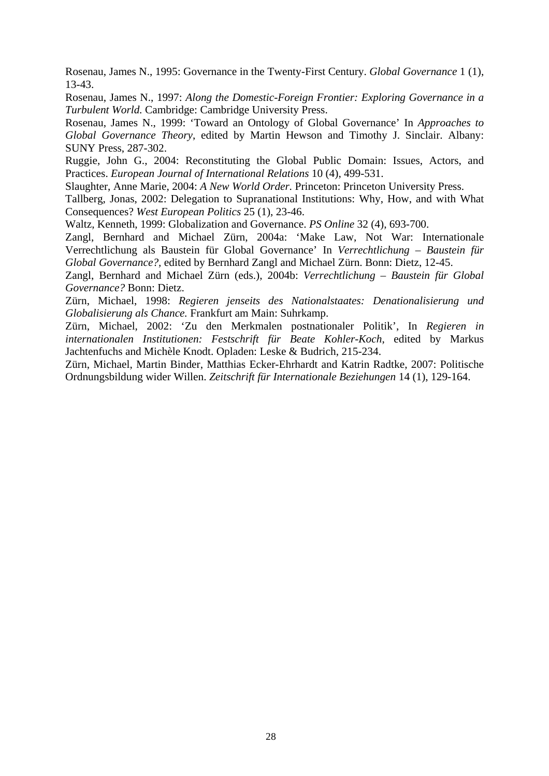Rosenau, James N., 1995: Governance in the Twenty-First Century. *Global Governance* 1 (1), 13-43.

Rosenau, James N., 1997: *Along the Domestic-Foreign Frontier: Exploring Governance in a Turbulent World.* Cambridge: Cambridge University Press.

Rosenau, James N., 1999: 'Toward an Ontology of Global Governance' In *Approaches to Global Governance Theory*, edited by Martin Hewson and Timothy J. Sinclair. Albany: SUNY Press, 287-302.

Ruggie, John G., 2004: Reconstituting the Global Public Domain: Issues, Actors, and Practices. *European Journal of International Relations* 10 (4), 499-531.

Slaughter, Anne Marie, 2004: *A New World Order.* Princeton: Princeton University Press.

Tallberg, Jonas, 2002: Delegation to Supranational Institutions: Why, How, and with What Consequences? *West European Politics* 25 (1), 23-46.

Waltz, Kenneth, 1999: Globalization and Governance. *PS Online* 32 (4), 693-700.

Zangl, Bernhard and Michael Zürn, 2004a: 'Make Law, Not War: Internationale Verrechtlichung als Baustein für Global Governance' In *Verrechtlichung – Baustein für Global Governance?,* edited by Bernhard Zangl and Michael Zürn. Bonn: Dietz, 12-45.

Zangl, Bernhard and Michael Zürn (eds.), 2004b: *Verrechtlichung – Baustein für Global Governance?* Bonn: Dietz.

Zürn, Michael, 1998: *Regieren jenseits des Nationalstaates: Denationalisierung und Globalisierung als Chance.* Frankfurt am Main: Suhrkamp.

Zürn, Michael, 2002: 'Zu den Merkmalen postnationaler Politik', In *Regieren in internationalen Institutionen: Festschrift für Beate Kohler-Koch*, edited by Markus Jachtenfuchs and Michèle Knodt. Opladen: Leske & Budrich, 215-234.

Zürn, Michael, Martin Binder, Matthias Ecker-Ehrhardt and Katrin Radtke, 2007: Politische Ordnungsbildung wider Willen. *Zeitschrift für Internationale Beziehungen* 14 (1), 129-164.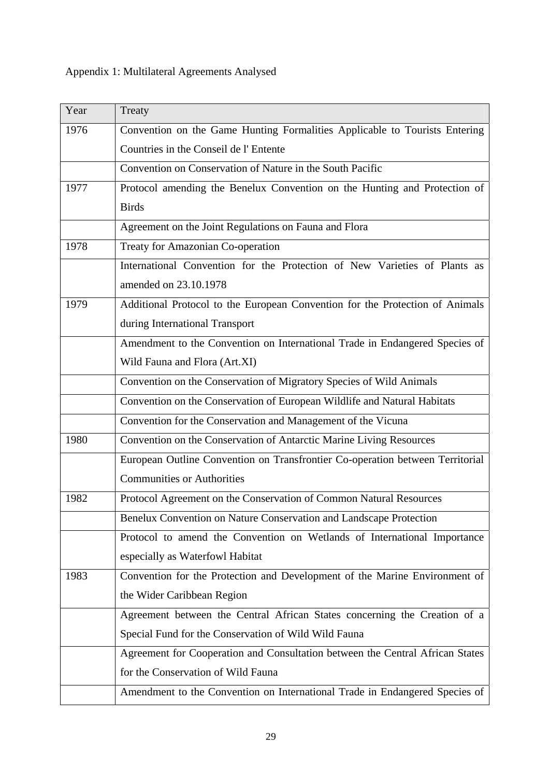# Appendix 1: Multilateral Agreements Analysed

| Year | Treaty                                                                        |  |
|------|-------------------------------------------------------------------------------|--|
| 1976 | Convention on the Game Hunting Formalities Applicable to Tourists Entering    |  |
|      | Countries in the Conseil de l'Entente                                         |  |
|      | Convention on Conservation of Nature in the South Pacific                     |  |
| 1977 | Protocol amending the Benelux Convention on the Hunting and Protection of     |  |
|      | <b>Birds</b>                                                                  |  |
|      | Agreement on the Joint Regulations on Fauna and Flora                         |  |
| 1978 | Treaty for Amazonian Co-operation                                             |  |
|      | International Convention for the Protection of New Varieties of Plants as     |  |
|      | amended on 23.10.1978                                                         |  |
| 1979 | Additional Protocol to the European Convention for the Protection of Animals  |  |
|      | during International Transport                                                |  |
|      | Amendment to the Convention on International Trade in Endangered Species of   |  |
|      | Wild Fauna and Flora (Art.XI)                                                 |  |
|      | Convention on the Conservation of Migratory Species of Wild Animals           |  |
|      | Convention on the Conservation of European Wildlife and Natural Habitats      |  |
|      | Convention for the Conservation and Management of the Vicuna                  |  |
| 1980 | Convention on the Conservation of Antarctic Marine Living Resources           |  |
|      | European Outline Convention on Transfrontier Co-operation between Territorial |  |
|      | <b>Communities or Authorities</b>                                             |  |
| 1982 | Protocol Agreement on the Conservation of Common Natural Resources            |  |
|      | Benelux Convention on Nature Conservation and Landscape Protection            |  |
|      | Protocol to amend the Convention on Wetlands of International Importance      |  |
|      | especially as Waterfowl Habitat                                               |  |
| 1983 | Convention for the Protection and Development of the Marine Environment of    |  |
|      | the Wider Caribbean Region                                                    |  |
|      | Agreement between the Central African States concerning the Creation of a     |  |
|      | Special Fund for the Conservation of Wild Wild Fauna                          |  |
|      | Agreement for Cooperation and Consultation between the Central African States |  |
|      | for the Conservation of Wild Fauna                                            |  |
|      | Amendment to the Convention on International Trade in Endangered Species of   |  |
|      |                                                                               |  |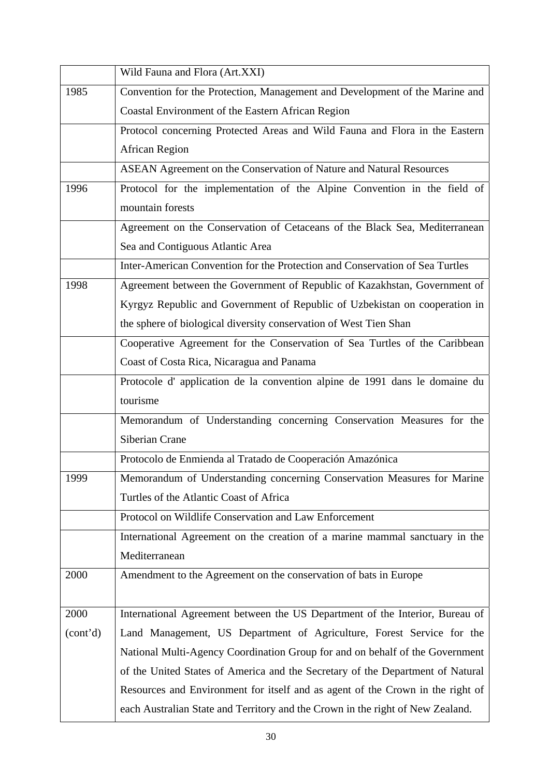|          | Wild Fauna and Flora (Art.XXI)                                                 |
|----------|--------------------------------------------------------------------------------|
| 1985     | Convention for the Protection, Management and Development of the Marine and    |
|          | Coastal Environment of the Eastern African Region                              |
|          | Protocol concerning Protected Areas and Wild Fauna and Flora in the Eastern    |
|          | <b>African Region</b>                                                          |
|          | ASEAN Agreement on the Conservation of Nature and Natural Resources            |
| 1996     | Protocol for the implementation of the Alpine Convention in the field of       |
|          | mountain forests                                                               |
|          | Agreement on the Conservation of Cetaceans of the Black Sea, Mediterranean     |
|          | Sea and Contiguous Atlantic Area                                               |
|          | Inter-American Convention for the Protection and Conservation of Sea Turtles   |
| 1998     | Agreement between the Government of Republic of Kazakhstan, Government of      |
|          | Kyrgyz Republic and Government of Republic of Uzbekistan on cooperation in     |
|          | the sphere of biological diversity conservation of West Tien Shan              |
|          | Cooperative Agreement for the Conservation of Sea Turtles of the Caribbean     |
|          | Coast of Costa Rica, Nicaragua and Panama                                      |
|          | Protocole d'application de la convention alpine de 1991 dans le domaine du     |
|          | tourisme                                                                       |
|          | Memorandum of Understanding concerning Conservation Measures for the           |
|          | Siberian Crane                                                                 |
|          | Protocolo de Enmienda al Tratado de Cooperación Amazónica                      |
| 1999     | Memorandum of Understanding concerning Conservation Measures for Marine        |
|          | Turtles of the Atlantic Coast of Africa                                        |
|          | Protocol on Wildlife Conservation and Law Enforcement                          |
|          | International Agreement on the creation of a marine mammal sanctuary in the    |
|          | Mediterranean                                                                  |
| 2000     | Amendment to the Agreement on the conservation of bats in Europe               |
|          |                                                                                |
| 2000     | International Agreement between the US Department of the Interior, Bureau of   |
| (cont'd) | Land Management, US Department of Agriculture, Forest Service for the          |
|          | National Multi-Agency Coordination Group for and on behalf of the Government   |
|          | of the United States of America and the Secretary of the Department of Natural |
|          | Resources and Environment for itself and as agent of the Crown in the right of |
|          | each Australian State and Territory and the Crown in the right of New Zealand. |